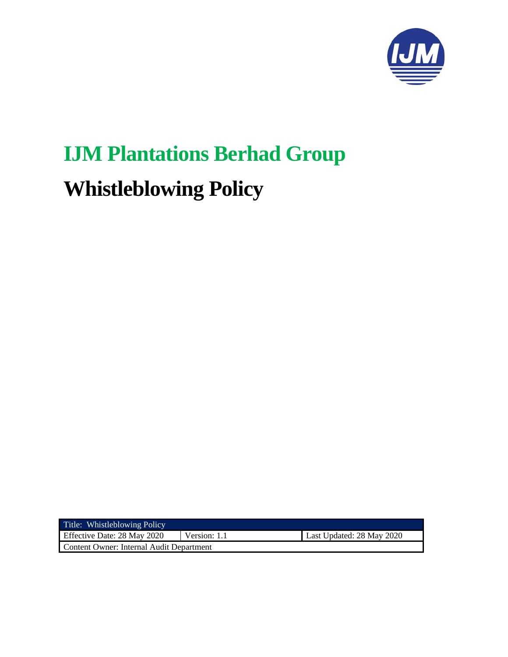

# **IJM Plantations Berhad Group Whistleblowing Policy**

| Title: Whistleblowing Policy             |              |                           |
|------------------------------------------|--------------|---------------------------|
| Effective Date: 28 May 2020              | Version: 1.1 | Last Updated: 28 May 2020 |
| Content Owner: Internal Audit Department |              |                           |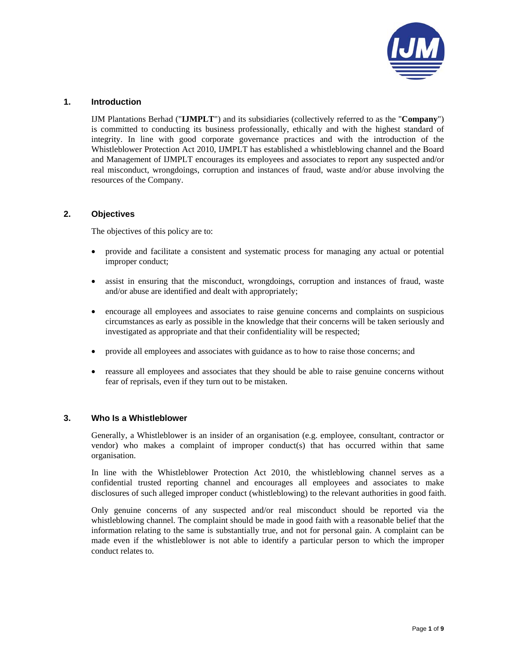

## **1. Introduction**

IJM Plantations Berhad ("**IJMPLT**") and its subsidiaries (collectively referred to as the "**Company**") is committed to conducting its business professionally, ethically and with the highest standard of integrity. In line with good corporate governance practices and with the introduction of the Whistleblower Protection Act 2010, IJMPLT has established a whistleblowing channel and the Board and Management of IJMPLT encourages its employees and associates to report any suspected and/or real misconduct, wrongdoings, corruption and instances of fraud, waste and/or abuse involving the resources of the Company.

## **2. Objectives**

The objectives of this policy are to:

- provide and facilitate a consistent and systematic process for managing any actual or potential improper conduct;
- assist in ensuring that the misconduct, wrongdoings, corruption and instances of fraud, waste and/or abuse are identified and dealt with appropriately;
- encourage all employees and associates to raise genuine concerns and complaints on suspicious circumstances as early as possible in the knowledge that their concerns will be taken seriously and investigated as appropriate and that their confidentiality will be respected;
- provide all employees and associates with guidance as to how to raise those concerns; and
- reassure all employees and associates that they should be able to raise genuine concerns without fear of reprisals, even if they turn out to be mistaken.

#### **3. Who Is a Whistleblower**

Generally, a Whistleblower is an insider of an organisation (e.g. employee, consultant, contractor or vendor) who makes a complaint of improper conduct(s) that has occurred within that same organisation.

In line with the Whistleblower Protection Act 2010, the whistleblowing channel serves as a confidential trusted reporting channel and encourages all employees and associates to make disclosures of such alleged improper conduct (whistleblowing) to the relevant authorities in good faith.

Only genuine concerns of any suspected and/or real misconduct should be reported via the whistleblowing channel. The complaint should be made in good faith with a reasonable belief that the information relating to the same is substantially true, and not for personal gain. A complaint can be made even if the whistleblower is not able to identify a particular person to which the improper conduct relates to.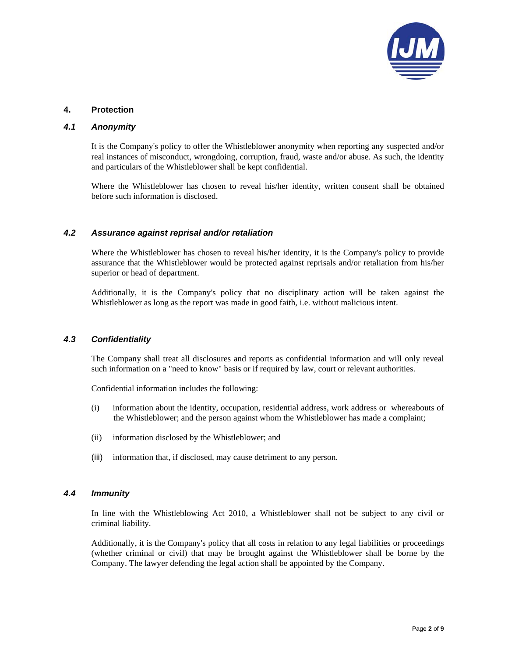

# **4. Protection**

## *4.1 Anonymity*

It is the Company's policy to offer the Whistleblower anonymity when reporting any suspected and/or real instances of misconduct, wrongdoing, corruption, fraud, waste and/or abuse. As such, the identity and particulars of the Whistleblower shall be kept confidential.

Where the Whistleblower has chosen to reveal his/her identity, written consent shall be obtained before such information is disclosed.

# *4.2 Assurance against reprisal and/or retaliation*

Where the Whistleblower has chosen to reveal his/her identity, it is the Company's policy to provide assurance that the Whistleblower would be protected against reprisals and/or retaliation from his/her superior or head of department.

Additionally, it is the Company's policy that no disciplinary action will be taken against the Whistleblower as long as the report was made in good faith, i.e. without malicious intent.

#### *4.3 Confidentiality*

The Company shall treat all disclosures and reports as confidential information and will only reveal such information on a "need to know" basis or if required by law, court or relevant authorities.

Confidential information includes the following:

- (i) information about the identity, occupation, residential address, work address or whereabouts of the Whistleblower; and the person against whom the Whistleblower has made a complaint;
- (ii) information disclosed by the Whistleblower; and
- (iii) information that, if disclosed, may cause detriment to any person.

# *4.4 Immunity*

In line with the Whistleblowing Act 2010, a Whistleblower shall not be subject to any civil or criminal liability.

Additionally, it is the Company's policy that all costs in relation to any legal liabilities or proceedings (whether criminal or civil) that may be brought against the Whistleblower shall be borne by the Company. The lawyer defending the legal action shall be appointed by the Company.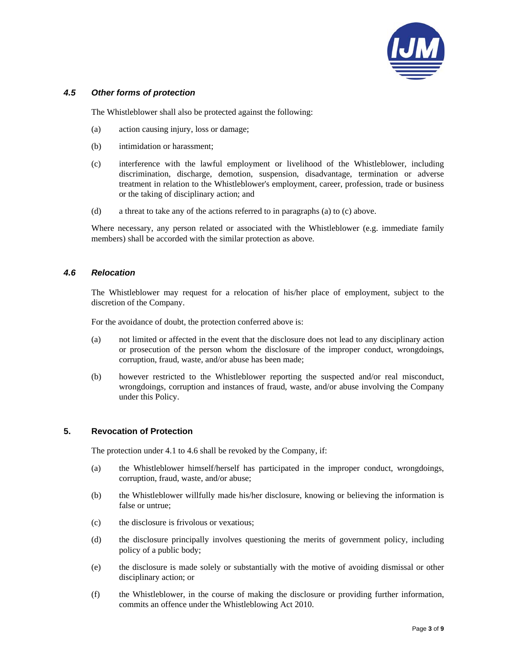

## *4.5 Other forms of protection*

The Whistleblower shall also be protected against the following:

- (a) action causing injury, loss or damage;
- (b) intimidation or harassment;
- (c) interference with the lawful employment or livelihood of the Whistleblower, including discrimination, discharge, demotion, suspension, disadvantage, termination or adverse treatment in relation to the Whistleblower's employment, career, profession, trade or business or the taking of disciplinary action; and
- (d) a threat to take any of the actions referred to in paragraphs (a) to (c) above.

Where necessary, any person related or associated with the Whistleblower (e.g. immediate family members) shall be accorded with the similar protection as above.

#### *4.6 Relocation*

The Whistleblower may request for a relocation of his/her place of employment, subject to the discretion of the Company.

For the avoidance of doubt, the protection conferred above is:

- (a) not limited or affected in the event that the disclosure does not lead to any disciplinary action or prosecution of the person whom the disclosure of the improper conduct, wrongdoings, corruption, fraud, waste, and/or abuse has been made;
- (b) however restricted to the Whistleblower reporting the suspected and/or real misconduct, wrongdoings, corruption and instances of fraud, waste, and/or abuse involving the Company under this Policy.

#### **5. Revocation of Protection**

The protection under 4.1 to 4.6 shall be revoked by the Company, if:

- (a) the Whistleblower himself/herself has participated in the improper conduct, wrongdoings, corruption, fraud, waste, and/or abuse;
- (b) the Whistleblower willfully made his/her disclosure, knowing or believing the information is false or untrue;
- (c) the disclosure is frivolous or vexatious;
- (d) the disclosure principally involves questioning the merits of government policy, including policy of a public body;
- (e) the disclosure is made solely or substantially with the motive of avoiding dismissal or other disciplinary action; or
- (f) the Whistleblower, in the course of making the disclosure or providing further information, commits an offence under the Whistleblowing Act 2010.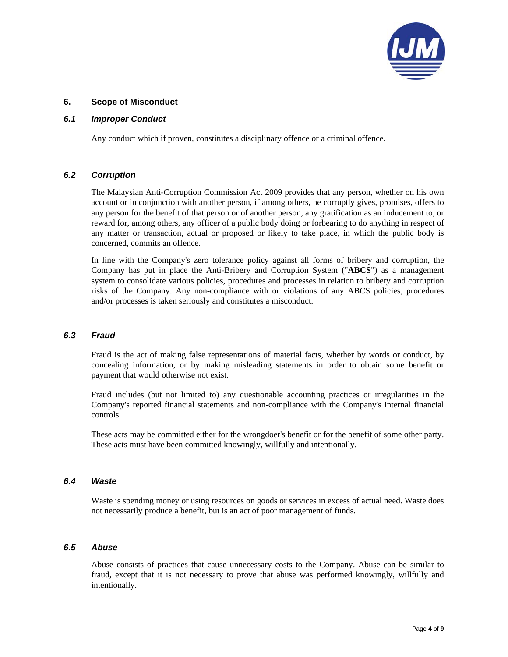

## **6. Scope of Misconduct**

## *6.1 Improper Conduct*

Any conduct which if proven, constitutes a disciplinary offence or a criminal offence.

## *6.2 Corruption*

The Malaysian Anti-Corruption Commission Act 2009 provides that any person, whether on his own account or in conjunction with another person, if among others, he corruptly gives, promises, offers to any person for the benefit of that person or of another person, any gratification as an inducement to, or reward for, among others, any officer of a public body doing or forbearing to do anything in respect of any matter or transaction, actual or proposed or likely to take place, in which the public body is concerned, commits an offence.

In line with the Company's zero tolerance policy against all forms of bribery and corruption, the Company has put in place the Anti-Bribery and Corruption System ("**ABCS**") as a management system to consolidate various policies, procedures and processes in relation to bribery and corruption risks of the Company. Any non-compliance with or violations of any ABCS policies, procedures and/or processes is taken seriously and constitutes a misconduct.

#### *6.3 Fraud*

Fraud is the act of making false representations of material facts, whether by words or conduct, by concealing information, or by making misleading statements in order to obtain some benefit or payment that would otherwise not exist.

Fraud includes (but not limited to) any questionable accounting practices or irregularities in the Company's reported financial statements and non-compliance with the Company's internal financial controls.

These acts may be committed either for the wrongdoer's benefit or for the benefit of some other party. These acts must have been committed knowingly, willfully and intentionally.

### *6.4 Waste*

Waste is spending money or using resources on goods or services in excess of actual need. Waste does not necessarily produce a benefit, but is an act of poor management of funds.

#### *6.5 Abuse*

Abuse consists of practices that cause unnecessary costs to the Company. Abuse can be similar to fraud, except that it is not necessary to prove that abuse was performed knowingly, willfully and intentionally.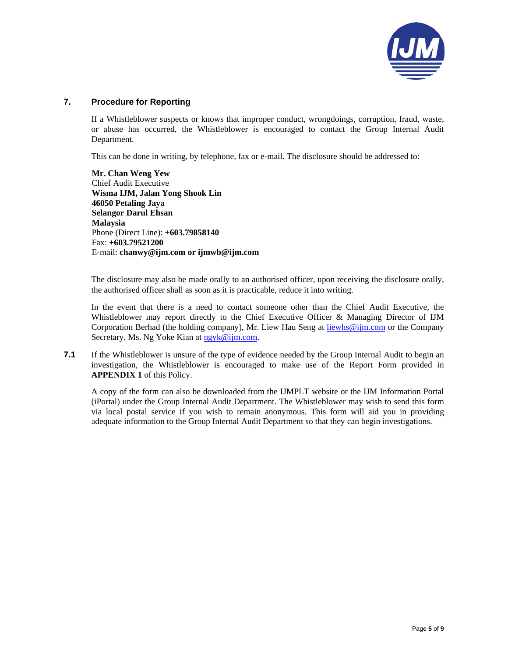

# **7. Procedure for Reporting**

If a Whistleblower suspects or knows that improper conduct, wrongdoings, corruption, fraud, waste, or abuse has occurred, the Whistleblower is encouraged to contact the Group Internal Audit Department.

This can be done in writing, by telephone, fax or e-mail. The disclosure should be addressed to:

**Mr. Chan Weng Yew**  Chief Audit Executive **Wisma IJM, Jalan Yong Shook Lin 46050 Petaling Jaya Selangor Darul Ehsan Malaysia**  Phone (Direct Line): **+603.79858140** Fax: **+603.79521200** E-mail: **chanwy@ijm.com or ijmwb@ijm.com**

The disclosure may also be made orally to an authorised officer, upon receiving the disclosure orally, the authorised officer shall as soon as it is practicable, reduce it into writing.

In the event that there is a need to contact someone other than the Chief Audit Executive, the Whistleblower may report directly to the Chief Executive Officer & Managing Director of IJM Corporation Berhad (the holding company), Mr. Liew Hau Seng at liewhs@ijm.com or the Company Secretary, Ms. Ng Yoke Kian at ngyk@ijm.com.

**7.1** If the Whistleblower is unsure of the type of evidence needed by the Group Internal Audit to begin an investigation, the Whistleblower is encouraged to make use of the Report Form provided in **APPENDIX 1** of this Policy.

A copy of the form can also be downloaded from the IJMPLT website or the IJM Information Portal (iPortal) under the Group Internal Audit Department. The Whistleblower may wish to send this form via local postal service if you wish to remain anonymous. This form will aid you in providing adequate information to the Group Internal Audit Department so that they can begin investigations.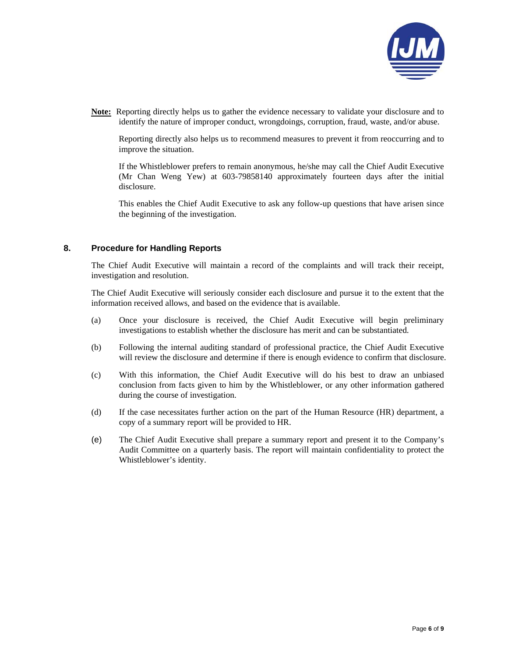

**Note:** Reporting directly helps us to gather the evidence necessary to validate your disclosure and to identify the nature of improper conduct, wrongdoings, corruption, fraud, waste, and/or abuse.

Reporting directly also helps us to recommend measures to prevent it from reoccurring and to improve the situation.

If the Whistleblower prefers to remain anonymous, he/she may call the Chief Audit Executive (Mr Chan Weng Yew) at 603-79858140 approximately fourteen days after the initial disclosure.

This enables the Chief Audit Executive to ask any follow-up questions that have arisen since the beginning of the investigation.

#### **8. Procedure for Handling Reports**

The Chief Audit Executive will maintain a record of the complaints and will track their receipt, investigation and resolution.

The Chief Audit Executive will seriously consider each disclosure and pursue it to the extent that the information received allows, and based on the evidence that is available.

- (a) Once your disclosure is received, the Chief Audit Executive will begin preliminary investigations to establish whether the disclosure has merit and can be substantiated.
- (b) Following the internal auditing standard of professional practice, the Chief Audit Executive will review the disclosure and determine if there is enough evidence to confirm that disclosure.
- (c) With this information, the Chief Audit Executive will do his best to draw an unbiased conclusion from facts given to him by the Whistleblower, or any other information gathered during the course of investigation.
- (d) If the case necessitates further action on the part of the Human Resource (HR) department, a copy of a summary report will be provided to HR.
- (e) The Chief Audit Executive shall prepare a summary report and present it to the Company's Audit Committee on a quarterly basis. The report will maintain confidentiality to protect the Whistleblower's identity.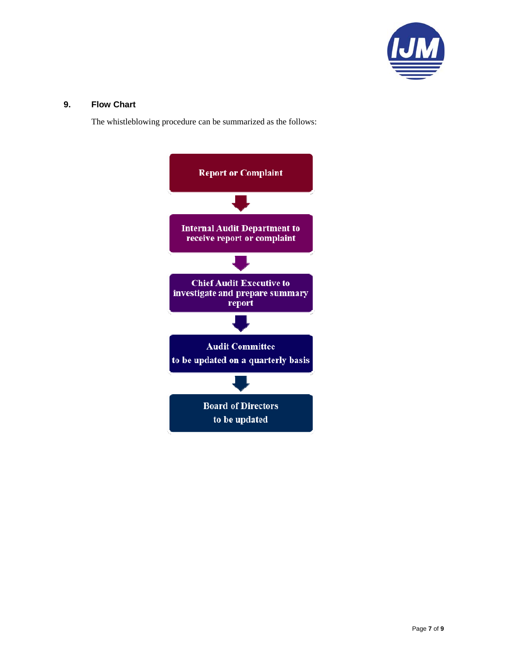

## **9. Flow Chart**

The whistleblowing procedure can be summarized as the follows:

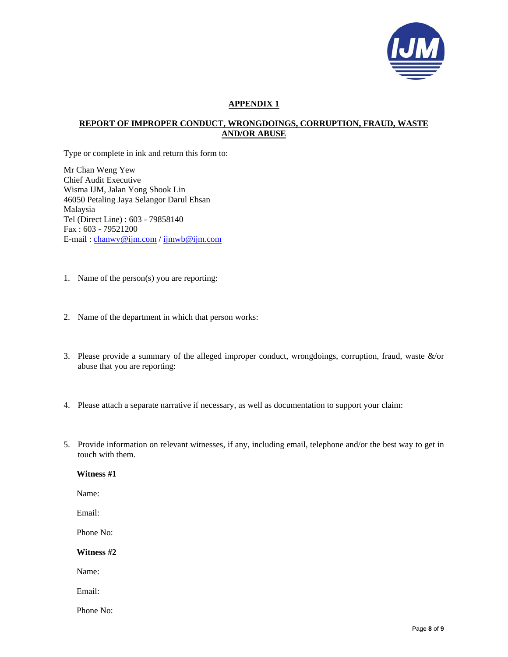

# **APPENDIX 1**

# **REPORT OF IMPROPER CONDUCT, WRONGDOINGS, CORRUPTION, FRAUD, WASTE AND/OR ABUSE**

Type or complete in ink and return this form to:

Mr Chan Weng Yew Chief Audit Executive Wisma IJM, Jalan Yong Shook Lin 46050 Petaling Jaya Selangor Darul Ehsan Malaysia Tel (Direct Line) : 603 - 79858140 Fax : 603 - 79521200 E-mail : chanwy@ijm.com / ijmwb@ijm.com

- 1. Name of the person(s) you are reporting:
- 2. Name of the department in which that person works:
- 3. Please provide a summary of the alleged improper conduct, wrongdoings, corruption, fraud, waste &/or abuse that you are reporting:
- 4. Please attach a separate narrative if necessary, as well as documentation to support your claim:
- 5. Provide information on relevant witnesses, if any, including email, telephone and/or the best way to get in touch with them.

#### **Witness #1**

Name:

Email:

Phone No:

**Witness #2** 

Name:

Email:

Phone No: